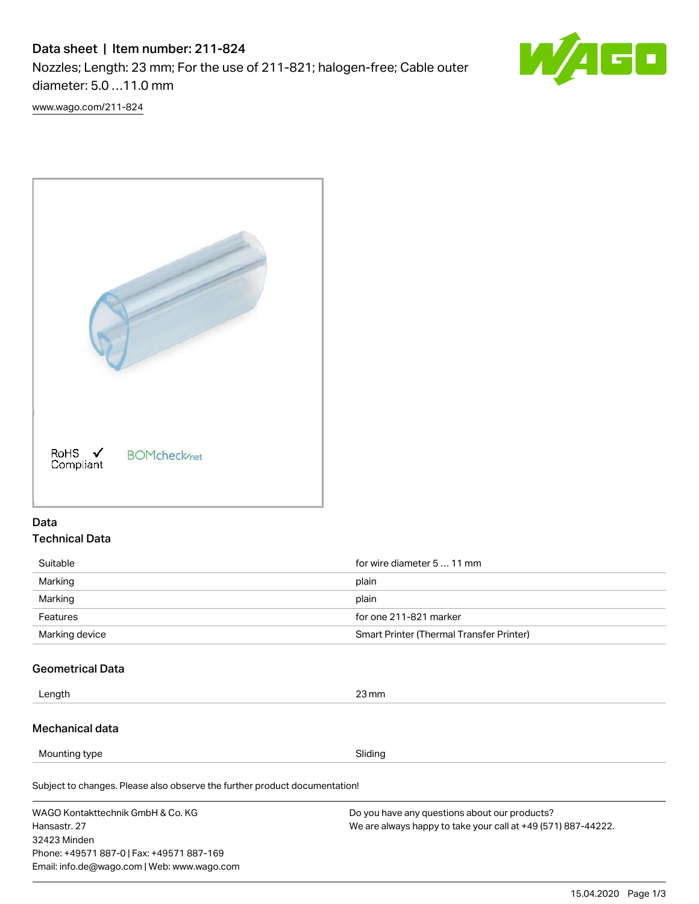# Data sheet | Item number: 211-824

Nozzles; Length: 23 mm; For the use of 211-821; halogen-free; Cable outer diameter: 5.0 …11.0 mm



[www.wago.com/211-824](http://www.wago.com/211-824)



# Data Technical Data

| Suitable       | for wire diameter 5  11 mm               |
|----------------|------------------------------------------|
| Marking        | plain                                    |
| Marking        | plain                                    |
| Features       | for one 211-821 marker                   |
| Marking device | Smart Printer (Thermal Transfer Printer) |

# Geometrical Data

| Length | $23 \,\mathrm{mm}$ |
|--------|--------------------|
|        |                    |

### Mechanical data

Mounting type Sliding

Subject to changes. Please also observe the further product documentation!

WAGO Kontakttechnik GmbH & Co. KG Hansastr. 27 32423 Minden Phone: +49571 887-0 | Fax: +49571 887-169 Email: info.de@wago.com | Web: www.wago.com Do you have any questions about our products? We are always happy to take your call at +49 (571) 887-44222.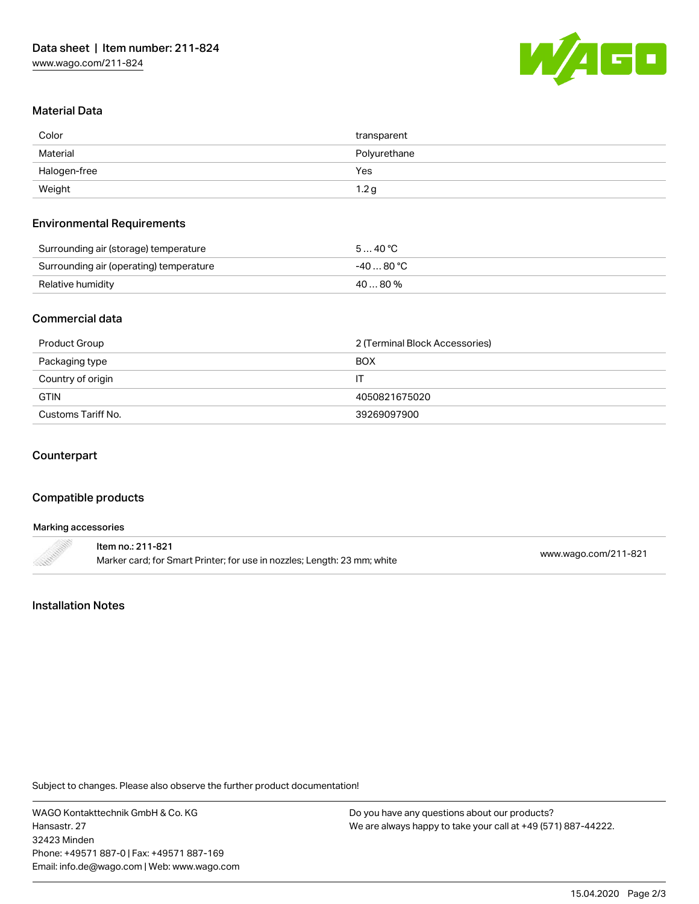

# Material Data

| Color                                                  | transparent      |
|--------------------------------------------------------|------------------|
| Material                                               | Polyurethane     |
| Halogen-free                                           | Yes              |
| Weight<br>the control of the control of the control of | 1.2 <sub>g</sub> |

#### Environmental Requirements

| Surrounding air (storage) temperature   | 540 °C     |
|-----------------------------------------|------------|
| Surrounding air (operating) temperature | $-4080 °C$ |
| Relative humidity                       | 40  80 %   |

### Commercial data

| Product Group      | 2 (Terminal Block Accessories) |
|--------------------|--------------------------------|
| Packaging type     | <b>BOX</b>                     |
| Country of origin  |                                |
| <b>GTIN</b>        | 4050821675020                  |
| Customs Tariff No. | 39269097900                    |

# Counterpart

## Compatible products

| Marking accessories |                                                                                               |                      |
|---------------------|-----------------------------------------------------------------------------------------------|----------------------|
| <b>CONTRACTORY</b>  | ltem no.: 211-821<br>Marker card; for Smart Printer; for use in nozzles; Length: 23 mm; white | www.wago.com/211-821 |

### Installation Notes

Subject to changes. Please also observe the further product documentation!

WAGO Kontakttechnik GmbH & Co. KG Hansastr. 27 32423 Minden Phone: +49571 887-0 | Fax: +49571 887-169 Email: info.de@wago.com | Web: www.wago.com

Do you have any questions about our products? We are always happy to take your call at +49 (571) 887-44222.